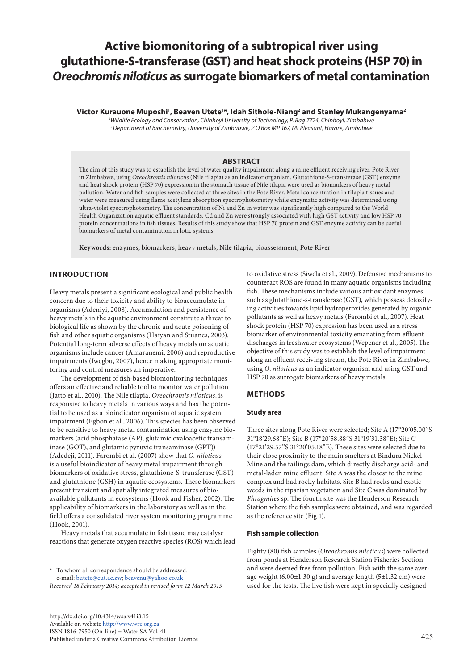# **Active biomonitoring of a subtropical river using glutathione-S-transferase (GST) and heat shock proteins (HSP 70) in**  *Oreochromis niloticus* **as surrogate biomarkers of metal contamination**

**Victor Kurauone Muposhi1 , Beaven Utete1 \*, Idah Sithole-Niang2 and Stanley Mukangenyama2**

*1 Wildlife Ecology and Conservation, Chinhoyi University of Technology, P. Bag 7724, Chinhoyi, Zimbabwe 2 Department of Biochemistry, University of Zimbabwe, P O Box MP 167, Mt Pleasant, Harare, Zimbabwe*

#### **ABSTRACT**

The aim of this study was to establish the level of water quality impairment along a mine effluent receiving river, Pote River in Zimbabwe, using *Oreochromis niloticus* (Nile tilapia) as an indicator organism. Glutathione-S-transferase (GST) enzyme and heat shock protein (HSP 70) expression in the stomach tissue of Nile tilapia were used as biomarkers of heavy metal pollution. Water and fish samples were collected at three sites in the Pote River. Metal concentration in tilapia tissues and water were measured using flame acetylene absorption spectrophotometry while enzymatic activity was determined using ultra-violet spectrophotometry. The concentration of Ni and Zn in water was significantly high compared to the World Health Organization aquatic effluent standards. Cd and Zn were strongly associated with high GST activity and low HSP 70 protein concentrations in fish tissues. Results of this study show that HSP 70 protein and GST enzyme activity can be useful biomarkers of metal contamination in lotic systems.

**Keywords:** enzymes, biomarkers, heavy metals, Nile tilapia, bioassessment, Pote River

# **INTRODUCTION**

Heavy metals present a significant ecological and public health concern due to their toxicity and ability to bioaccumulate in organisms (Adeniyi, 2008). Accumulation and persistence of heavy metals in the aquatic environment constitute a threat to biological life as shown by the chronic and acute poisoning of fish and other aquatic organisms (Haiyan and Stuanes, 2003). Potential long-term adverse effects of heavy metals on aquatic organisms include cancer (Amaranemi, 2006) and reproductive impairments (Iwegbu, 2007), hence making appropriate monitoring and control measures an imperative.

The development of fish-based biomonitoring techniques offers an effective and reliable tool to monitor water pollution (Jatto et al., 2010). The Nile tilapia, *Oreochromis niloticus*, is responsive to heavy metals in various ways and has the potential to be used as a bioindicator organism of aquatic system impairment (Egbon et al., 2006). This species has been observed to be sensitive to heavy metal contamination using enzyme biomarkers (acid phosphatase (AP), glutamic oxaloacetic transaminase (GOT), and glutamic pyruvic transaminase (GPT)) (Adedeji, 2011). Farombi et al. (2007) show that *O. niloticus* is a useful bioindicator of heavy metal impairment through biomarkers of oxidative stress, glutathione-S-transferase (GST) and glutathione (GSH) in aquatic ecosystems. These biomarkers present transient and spatially integrated measures of bioavailable pollutants in ecosystems (Hook and Fisher, 2002). The applicability of biomarkers in the laboratory as well as in the field offers a consolidated river system monitoring programme (Hook, 2001).

Heavy metals that accumulate in fish tissue may catalyse reactions that generate oxygen reactive species (ROS) which lead

\* To whom all correspondence should be addressed. e-mail: [butete@cut.ac.zw](mailto:butete@cut.ac.zw); [beavenu@yahoo.co.uk](mailto:beavenu%40yahoo.co.uk?subject=)

*Received 18 February 2014; accepted in revised form 12 March 2015*

[http://dx.doi.org/10.4314/wsa.v41i3.](http://dx.doi.org/10.4314/wsa.v41i3.15)15 Available on website<http://www.wrc.org.za> ISSN 1816-7950 (On-line) = Water SA Vol. 41 Published under a Creative Commons Attribution Licence to oxidative stress (Siwela et al., 2009). Defensive mechanisms to counteract ROS are found in many aquatic organisms including fish. These mechanisms include various antioxidant enzymes, such as glutathione-s-transferase (GST), which possess detoxifying activities towards lipid hydroperoxides generated by organic pollutants as well as heavy metals (Farombi et al., 2007). Heat shock protein (HSP 70) expression has been used as a stress biomarker of environmental toxicity emanating from effluent discharges in freshwater ecosystems (Wepener et al., 2005). The objective of this study was to establish the level of impairment along an effluent receiving stream, the Pote River in Zimbabwe, using *O*. *niloticus* as an indicator organism and using GST and HSP 70 as surrogate biomarkers of heavy metals.

#### **METHODS**

#### **Study area**

Three sites along Pote River were selected; Site A (17°20'05.00"S 31°18'29.68"E); Site B (17°20'58.88"S 31°19'31.38"E); Site C (17°21'29.57"S 31°20'05.18"E). These sites were selected due to their close proximity to the main smelters at Bindura Nickel Mine and the tailings dam, which directly discharge acid- and metal-laden mine effluent. Site A was the closest to the mine complex and had rocky habitats. Site B had rocks and exotic weeds in the riparian vegetation and Site C was dominated by *Phragmites* sp*.* The fourth site was the Henderson Research Station where the fish samples were obtained, and was regarded as the reference site (Fig 1).

#### **Fish sample collection**

Eighty (80) fish samples (*Oreochromis niloticus*) were collected from ponds at Henderson Research Station Fisheries Section and were deemed free from pollution. Fish with the same average weight (6.00±1.30 g) and average length (5±1.32 cm) were used for the tests. The live fish were kept in specially designed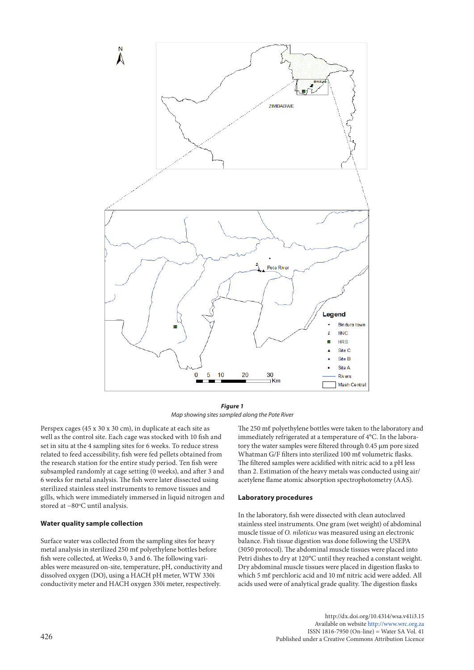

# *Figure 1*

*Map showing sites sampled along the Pote River*

Perspex cages (45 x 30 x 30 cm), in duplicate at each site as The 250 m $\ell$ well as the control site. Each cage was stocked with 10 fish and set in situ at the 4 sampling sites for 6 weeks. To reduce stress related to feed accessibility, fish were fed pellets obtained from the research station for the entire study period. Ten fish were subsampled randomly at cage setting (0 weeks), and after 3 and 6 weeks for metal analysis. The fish were later dissected using sterilized stainless steel instruments to remove tissues and gills, which were immediately immersed in liquid nitrogen and stored at -80°C until analysis.

#### **Water quality sample collection**

Surface water was collected from the sampling sites for heavy metal analysis in sterilized 250 mℓ polyethylene bottles before fish were collected, at Weeks 0, 3 and 6. The following variables were measured on-site, temperature, pH, conductivity and dissolved oxygen (DO), using a HACH pH meter, WTW 330i conductivity meter and HACH oxygen 330i meter, respectively.

The 250 mℓ polyethylene bottles were taken to the laboratory and immediately refrigerated at a temperature of 4°C. In the laboratory the water samples were filtered through 0.45 µm pore sized Whatman G/F filters into sterilized 100 ml volumetric flasks. The filtered samples were acidified with nitric acid to a pH less than 2. Estimation of the heavy metals was conducted using air/ acetylene flame atomic absorption spectrophotometry (AAS).

#### **Laboratory procedures**

In the laboratory, fish were dissected with clean autoclaved stainless steel instruments. One gram (wet weight) of abdominal muscle tissue of *O. niloticus* was measured using an electronic balance. Fish tissue digestion was done following the USEPA (3050 protocol). The abdominal muscle tissues were placed into Petri dishes to dry at 120°C until they reached a constant weight. Dry abdominal muscle tissues were placed in digestion flasks to which 5 mℓ perchloric acid and 10 mℓ nitric acid were added. All acids used were of analytical grade quality. The digestion flasks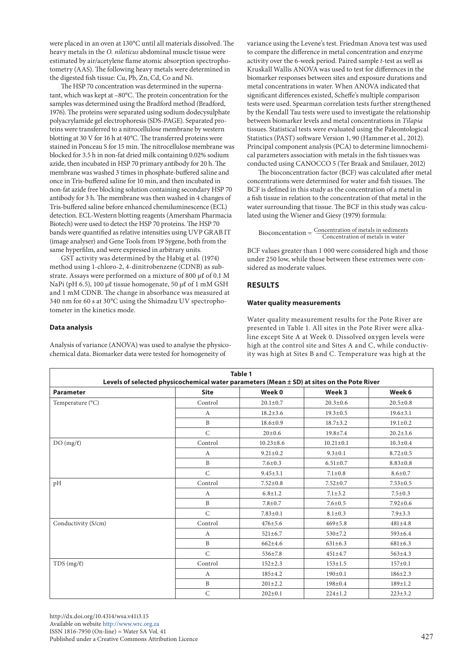were placed in an oven at 130°C until all materials dissolved. The heavy metals in the *O. niloticus* abdominal muscle tissue were estimated by air/acetylene flame atomic absorption spectrophotometry (AAS). The following heavy metals were determined in the digested fish tissue: Cu, Pb, Zn, Cd, Co and Ni.

The HSP 70 concentration was determined in the supernatant, which was kept at –80°C. The protein concentration for the samples was determined using the Bradford method (Bradford, 1976). The proteins were separated using sodium dodecysulphate polyacrylamide gel electrophoresis (SDS-PAGE). Separated proteins were transferred to a nitrocellulose membrane by western blotting at 30 V for 16 h at 40°C. The transferred proteins were stained in Ponceau S for 15 min. The nitrocellulose membrane was blocked for 3.5 h in non-fat dried milk containing 0.02% sodium azide, then incubated in HSP 70 primary antibody for 20 h. The membrane was washed 3 times in phosphate-buffered saline and once in Tris-buffered saline for 10 min, and then incubated in non-fat azide free blocking solution containing secondary HSP 70 antibody for 3 h. The membrane was then washed in 4 changes of Tris-buffered saline before enhanced chemiluminescence (ECL) detection. ECL-Western blotting reagents (Amersham Pharmacia Biotech) were used to detect the HSP 70 proteins. The HSP 70 bands were quantified as relative intensities using UVP GRAB IT (image analyser) and Gene Tools from 19 Sygene, both from the same hyperfilm, and were expressed in arbitrary units.

GST activity was determined by the Habig et al*.* (1974) method using 1-chloro-2, 4-dinitrobenzene (CDNB) as substrate. Assays were performed on a mixture of 800 µℓ of 0.1 M NaPi (pH 6.5), 100 µℓ tissue homogenate, 50 µℓ of 1 mM GSH and 1 mM CDNB. The change in absorbance was measured at 340 nm for 60 s at 30°C using the Shimadzu UV spectrophotometer in the kinetics mode.

#### **Data analysis**

Analysis of variance (ANOVA) was used to analyse the physicochemical data. Biomarker data were tested for homogeneity of

variance using the Levene's test. Friedman Anova test was used to compare the difference in metal concentration and enzyme activity over the 6-week period. Paired sample *t*-test as well as Kruskall Wallis ANOVA was used to test for differences in the biomarker responses between sites and exposure durations and metal concentrations in water. When ANOVA indicated that significant differences existed, Scheffe's multiple comparison tests were used. Spearman correlation tests further strengthened by the Kendall Tau tests were used to investigate the relationship between biomarker levels and metal concentrations in *Tilapia* tissues. Statistical tests were evaluated using the Paleontological Statistics (PAST) software Version 1, 90 (Hammer et al*.*, 2012). Principal component analysis (PCA) to determine limnochemical parameters association with metals in the fish tissues was conducted using CANOCCO 5 (Ter Braak and Smilauer, 2012)

The bioconcentration factor (BCF) was calculated after metal concentrations were determined for water and fish tissues. The BCF is defined in this study as the concentration of a metal in a fish tissue in relation to the concentration of that metal in the water surrounding that tissue. The BCF in this study was calculated using the Wiener and Giesy (1979) formula:

 $Bioconcentration = \frac{Concentration\ of\ metals\ in\ sediments}{Concentration\ of\ metals\ in\ water}$ 

BCF values greater than 1 000 were considered high and those under 250 low, while those between these extremes were considered as moderate values.

# **RESULTS**

#### **Water quality measurements**

Water quality measurement results for the Pote River are presented in Table 1. All sites in the Pote River were alkaline except Site A at Week 0. Dissolved oxygen levels were high at the control site and Sites A and C, while conductivity was high at Sites B and C. Temperature was high at the

| Table 1<br>Levels of selected physicochemical water parameters (Mean ± SD) at sites on the Pote River |                  |                 |                 |                |  |  |  |
|-------------------------------------------------------------------------------------------------------|------------------|-----------------|-----------------|----------------|--|--|--|
| <b>Parameter</b>                                                                                      | <b>Site</b>      | Week 0          | Week 3          | Week 6         |  |  |  |
| Temperature (°C)                                                                                      | Control          | $20.1 \pm 0.7$  | $20.3 \pm 0.6$  | $20.5 \pm 0.8$ |  |  |  |
|                                                                                                       | $\mathbf{A}$     | $18.2 \pm 3.6$  | $19.3 \pm 0.5$  | $19.6 \pm 3.1$ |  |  |  |
|                                                                                                       | $\mathbf B$      | $18.6 \pm 0.9$  | $18.7 \pm 3.2$  | $19.1 \pm 0.2$ |  |  |  |
|                                                                                                       | $\mathsf{C}$     | $20 \pm 0.6$    | $19.8 \pm 7.4$  | $20.2 \pm 3.6$ |  |  |  |
| $DO(mg/\ell)$                                                                                         | Control          | $10.23 \pm 8.6$ | $10.21 \pm 0.1$ | $10.3 \pm 0.4$ |  |  |  |
|                                                                                                       | A                | $9.21 \pm 0.2$  | $9.3 \pm 0.1$   | $8.72 \pm 0.5$ |  |  |  |
|                                                                                                       | $\mathbf B$      | $7.6 \pm 0.3$   |                 | $8.83 \pm 0.8$ |  |  |  |
|                                                                                                       | $\mathsf{C}$     | $9.45 \pm 3.1$  | $7.1 \pm 0.8$   | $8.6 \pm 0.7$  |  |  |  |
| pH                                                                                                    | Control          | $7.52 \pm 0.8$  | $7.52 \pm 0.7$  | $7.53 \pm 0.5$ |  |  |  |
|                                                                                                       | A                | $6.8 \pm 1.2$   | $7.1 \pm 3.2$   | $7.5 \pm 0.3$  |  |  |  |
|                                                                                                       | $\, {\bf B}$     | $7.8 + 0.7$     | $7.6 \pm 0.5$   | $7.92 \pm 0.6$ |  |  |  |
|                                                                                                       | $\mathcal{C}$    | $7.83 \pm 0.1$  | $8.1 \pm 0.3$   | $7.9 \pm 3.3$  |  |  |  |
| Conductivity (S/cm)                                                                                   | Control          | $476 \pm 5.6$   | $469 \pm 5.8$   | $481 \pm 4.8$  |  |  |  |
|                                                                                                       | $\boldsymbol{A}$ | $521 \pm 6.7$   | 530±7.2         | 593±6.4        |  |  |  |
|                                                                                                       | $\, {\bf B}$     | $662 + 4.6$     | $631 \pm 6.3$   | $681 \pm 6.3$  |  |  |  |
|                                                                                                       | $\mathcal{C}$    | $536 \pm 7.8$   | $451 \pm 4.7$   | $563 \pm 4.3$  |  |  |  |
| $TDS(mg/\ell)$                                                                                        | Control          | $152 \pm 2.3$   | $153 \pm 1.5$   | $157 + 0.1$    |  |  |  |
|                                                                                                       | $\mathbf{A}$     | 185±4.2         | $190 \pm 0.1$   | $186 \pm 2.3$  |  |  |  |
|                                                                                                       | $\mathbf{B}$     | $201 \pm 2.2$   | $198 + 0.4$     | $189 \pm 1.2$  |  |  |  |
|                                                                                                       | $\mathsf{C}$     | $202 \pm 0.1$   | $224 \pm 1.2$   | $223 \pm 3.2$  |  |  |  |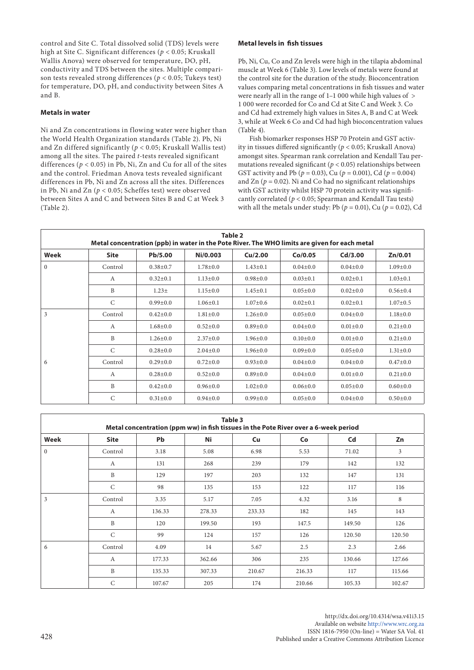control and Site C. Total dissolved solid (TDS) levels were high at Site C. Significant differences (*p* < 0.05; Kruskall Wallis Anova) were observed for temperature, DO, pH, conductivity and TDS between the sites. Multiple comparison tests revealed strong differences (*p* < 0.05; Tukeys test) for temperature, DO, pH, and conductivity between Sites A and B.

# **Metals in water**

Ni and Zn concentrations in flowing water were higher than the World Health Organization standards (Table 2). Pb, Ni and Zn differed significantly (*p* < 0.05; Kruskall Wallis test) among all the sites. The paired *t*-tests revealed significant differences ( $p < 0.05$ ) in Pb, Ni, Zn and Cu for all of the sites and the control. Friedman Anova tests revealed significant differences in Pb, Ni and Zn across all the sites. Differences in Pb, Ni and Zn (*p* < 0.05; Scheffes test) were observed between Sites A and C and between Sites B and C at Week 3 (Table 2).

#### **Metal levels in fish tissues**

Pb, Ni, Cu, Co and Zn levels were high in the tilapia abdominal muscle at Week 6 (Table 3). Low levels of metals were found at the control site for the duration of the study. Bioconcentration values comparing metal concentrations in fish tissues and water were nearly all in the range of 1–1 000 while high values of > 1 000 were recorded for Co and Cd at Site C and Week 3. Co and Cd had extremely high values in Sites A, B and C at Week 3, while at Week 6 Co and Cd had high bioconcentration values (Table 4).

Fish biomarker responses HSP 70 Protein and GST activity in tissues differed significantly (*p* < 0.05; Kruskall Anova) amongst sites. Spearman rank correlation and Kendall Tau permutations revealed significant ( $p < 0.05$ ) relationships between GST activity and Pb ( $p = 0.03$ ), Cu ( $p = 0.001$ ), Cd ( $p = 0.004$ ) and Zn ( $p = 0.02$ ). Ni and Co had no significant relationships with GST activity whilst HSP 70 protein activity was significantly correlated (*p* < 0.05; Spearman and Kendall Tau tests) with all the metals under study: Pb ( $p = 0.01$ ), Cu ( $p = 0.02$ ), Cd

| Table 2<br>Metal concentration (ppb) in water in the Pote River. The WHO limits are given for each metal |              |                |                |                |                |                |                |  |
|----------------------------------------------------------------------------------------------------------|--------------|----------------|----------------|----------------|----------------|----------------|----------------|--|
| Week                                                                                                     | <b>Site</b>  | Pb/5.00        | Ni/0.003       | Cu/2.00        | Co/O.05        | Cd/3.00        | Zn/0.01        |  |
| $\theta$                                                                                                 | Control      | $0.38 + 0.7$   | $1.78 \pm 0.0$ | $1.43 \pm 0.1$ | $0.04 \pm 0.0$ | $0.04 \pm 0.0$ | $1.09 \pm 0.0$ |  |
|                                                                                                          | A            | $0.32 \pm 0.1$ | $1.13 \pm 0.0$ | $0.98 + 0.0$   | $0.03 \pm 0.1$ | $0.02 \pm 0.1$ | $1.03 \pm 0.1$ |  |
|                                                                                                          | B            | $1.23 +$       | $1.15 \pm 0.0$ | $1.45 \pm 0.1$ | $0.05 \pm 0.0$ | $0.02 \pm 0.0$ | $0.56 \pm 0.4$ |  |
|                                                                                                          | $\mathsf{C}$ | $0.99 \pm 0.0$ | $1.06 \pm 0.1$ | $1.07 \pm 0.6$ | $0.02 \pm 0.1$ | $0.02 \pm 0.1$ | $1.07 \pm 0.5$ |  |
| 3                                                                                                        | Control      | $0.42 \pm 0.0$ | $1.81 \pm 0.0$ | $1.26 \pm 0.0$ | $0.05 \pm 0.0$ | $0.04 \pm 0.0$ | $1.18 \pm 0.0$ |  |
|                                                                                                          | A            | $1.68 \pm 0.0$ | $0.52 \pm 0.0$ | $0.89 + 0.0$   | $0.04 \pm 0.0$ | $0.01 \pm 0.0$ | $0.21 \pm 0.0$ |  |
|                                                                                                          | B            | $1.26 \pm 0.0$ | $2.37 \pm 0.0$ | $1.96 \pm 0.0$ | $0.10\pm0.0$   | $0.01 \pm 0.0$ | $0.21 \pm 0.0$ |  |
|                                                                                                          | $\mathsf{C}$ | $0.28 \pm 0.0$ | $2.04 \pm 0.0$ | $1.96 \pm 0.0$ | $0.09 \pm 0.0$ | $0.05 \pm 0.0$ | $1.31 \pm 0.0$ |  |
| 6                                                                                                        | Control      | $0.29 \pm 0.0$ | $0.72 \pm 0.0$ | $0.93 \pm 0.0$ | $0.04 \pm 0.0$ | $0.04 \pm 0.0$ | $0.47 \pm 0.0$ |  |
|                                                                                                          | A            | $0.28 \pm 0.0$ | $0.52 \pm 0.0$ | $0.89 + 0.0$   | $0.04 \pm 0.0$ | $0.01 \pm 0.0$ | $0.21 \pm 0.0$ |  |
|                                                                                                          | B            | $0.42 \pm 0.0$ | $0.96 \pm 0.0$ | $1.02 \pm 0.0$ | $0.06 \pm 0.0$ | $0.05 \pm 0.0$ | $0.60 \pm 0.0$ |  |
|                                                                                                          | C            | $0.31 \pm 0.0$ | $0.94 \pm 0.0$ | $0.99 \pm 0.0$ | $0.05 \pm 0.0$ | $0.04 \pm 0.0$ | $0.50 \pm 0.0$ |  |

| Table 3<br>Metal concentration (ppm ww) in fish tissues in the Pote River over a 6-week period |              |           |        |           |        |        |         |  |
|------------------------------------------------------------------------------------------------|--------------|-----------|--------|-----------|--------|--------|---------|--|
| Week                                                                                           | <b>Site</b>  | <b>Pb</b> | Ni     | <b>Cu</b> | Co     | Cd     | Zn      |  |
| $\theta$                                                                                       | Control      | 3.18      | 5.08   | 6.98      | 5.53   | 71.02  | 3       |  |
|                                                                                                | A            | 131       | 268    | 239       | 179    | 142    | 132     |  |
|                                                                                                | $\mathbf{B}$ | 129       | 197    | 203       | 132    | 147    | 131     |  |
|                                                                                                | $\mathsf{C}$ | 98        | 135    | 153       | 122    | 117    | 116     |  |
| 3                                                                                              | Control      | 3.35      | 5.17   | 7.05      | 4.32   | 3.16   | $\,8\,$ |  |
|                                                                                                | A            | 136.33    | 278.33 | 233.33    | 182    | 145    | 143     |  |
|                                                                                                | B            | 120       | 199.50 | 193       | 147.5  | 149.50 | 126     |  |
|                                                                                                | $\mathsf{C}$ | 99        | 124    | 157       | 126    | 120.50 | 120.50  |  |
| 6                                                                                              | Control      | 4.09      | 14     | 5.67      | 2.5    | 2.3    | 2.66    |  |
|                                                                                                | A            | 177.33    | 362.66 | 306       | 235    | 130.66 | 127.66  |  |
|                                                                                                | $\mathbf{B}$ | 135.33    | 307.33 | 210.67    | 216.33 | 117    | 115.66  |  |
|                                                                                                | $\mathsf{C}$ | 107.67    | 205    | 174       | 210.66 | 105.33 | 102.67  |  |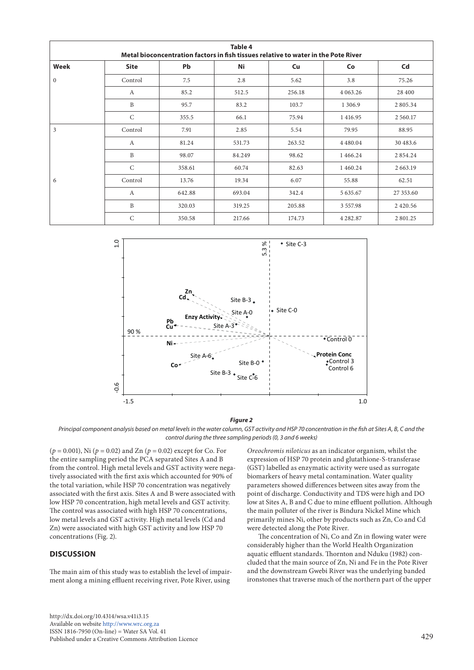| <b>Table 4</b><br>Metal bioconcentration factors in fish tissues relative to water in the Pote River |                  |           |        |        |               |                |  |  |
|------------------------------------------------------------------------------------------------------|------------------|-----------|--------|--------|---------------|----------------|--|--|
| Week                                                                                                 | <b>Site</b>      | <b>Pb</b> | Ni     | Cu     | Co            | C <sub>d</sub> |  |  |
| $\mathbf{0}$                                                                                         | Control          | 7.5       | 2.8    | 5.62   | 3.8           | 75.26          |  |  |
|                                                                                                      | $\boldsymbol{A}$ | 85.2      | 512.5  | 256.18 | 4 0 63.26     | 28 400         |  |  |
|                                                                                                      | $\, {\bf B}$     | 95.7      | 83.2   | 103.7  | 1 3 0 6 .9    | 2805.34        |  |  |
|                                                                                                      | $\mathsf{C}$     | 355.5     | 66.1   | 75.94  | 1 4 1 6 . 9 5 | 2 5 6 0.17     |  |  |
| $\overline{3}$<br>6                                                                                  | Control          | 7.91      | 2.85   | 5.54   | 79.95         | 88.95          |  |  |
|                                                                                                      | A                | 81.24     | 531.73 | 263.52 | 4 4 8 0 . 0 4 | 30 483.6       |  |  |
|                                                                                                      | B                | 98.07     | 84.249 | 98.62  | 1466.24       | 2 8 5 4 . 2 4  |  |  |
|                                                                                                      | $\mathsf{C}$     | 358.61    | 60.74  | 82.63  | 1460.24       | 2 663.19       |  |  |
|                                                                                                      | Control          | 13.76     | 19.34  | 6.07   | 55.88         | 62.51          |  |  |
|                                                                                                      | $\mathbf{A}$     | 642.88    | 693.04 | 342.4  | 5 635.67      | 27 353.60      |  |  |
|                                                                                                      | B                | 320.03    | 319.25 | 205.88 | 3 5 5 7 . 9 8 | 2420.56        |  |  |
|                                                                                                      | $\mathsf{C}$     | 350.58    | 217.66 | 174.73 | 4 2 8 2.87    | 2 801.25       |  |  |



#### *Figure 2*

Principal component analysis based on metal levels in the water column, GST activity and HSP 70 concentration in the fish at Sites A, B, C and the *control during the three sampling periods (0, 3 and 6 weeks)* 

 $(p = 0.001)$ , Ni  $(p = 0.02)$  and Zn  $(p = 0.02)$  except for Co. For the entire sampling period the PCA separated Sites A and B from the control. High metal levels and GST activity were negatively associated with the first axis which accounted for 90% of the total variation, while HSP 70 concentration was negatively associated with the first axis. Sites A and B were associated with associated with the first axis. Sites A and B were associated wit<br>low HSP 70 concentration, high metal levels and GST activity. The control was associated with high HSP 70 concentrations, low metal levels and GST activity. High metal levels (Cd and Zn) were associated with high GST activity and low HSP 70 concentrations (Fig. 2).

# **DISCUSSION**

The main aim of this study was to establish the level of impairment along a mining effluent receiving river, Pote River, using

gh metal levels and GST activity were nega- (GST) labelled as enzymatic activity were used as surrogate hile HSP 70 concentration was negatively parameters showed differences between sites away from the *Oreochromis niloticus* as an indicator organism, whilst the expression of HSP 70 protein and glutathione-S-transferase biomarkers of heavy metal contamination. Water quality point of discharge. Conductivity and TDS were high and DO low at Sites A, B and C due to mine effluent pollution. Although the main polluter of the river is Bindura Nickel Mine which primarily mines Ni, other by products such as Zn, Co and Cd were detected along the Pote River.

The concentration of Ni, Co and Zn in flowing water were considerably higher than the World Health Organization aquatic effluent standards. Thornton and Nduku (1982) concluded that the main source of Zn, Ni and Fe in the Pote River and the downstream Gwebi River was the underlying banded ironstones that traverse much of the northern part of the upper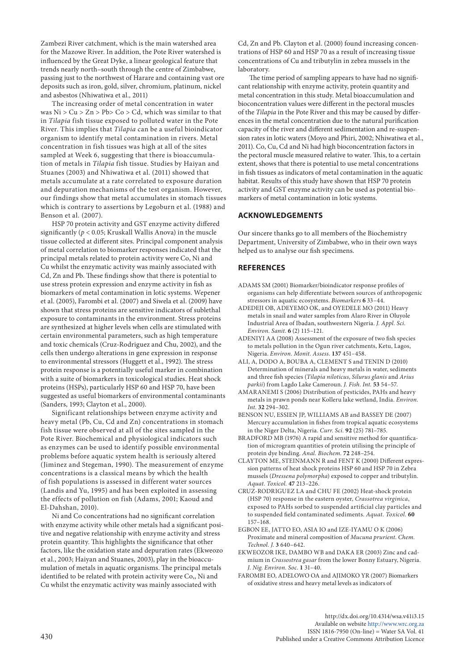Zambezi River catchment, which is the main watershed area for the Mazowe River. In addition, the Pote River watershed is influenced by the Great Dyke, a linear geological feature that trends nearly north–south through the centre of Zimbabwe, passing just to the northwest of Harare and containing vast ore deposits such as iron, gold, silver, chromium, platinum, nickel and asbestos (Nhiwatiwa et al*.,* 2011)

The increasing order of metal concentration in water was Ni > Cu > Zn > Pb> Co > Cd, which was similar to that in *Tilapia* fish tissue exposed to polluted water in the Pote River. This implies that *Tilapia* can be a useful bioindicator organism to identify metal contamination in rivers. Metal concentration in fish tissues was high at all of the sites sampled at Week 6, suggesting that there is bioaccumulation of metals in *Tilapia* fish tissue. Studies by Haiyan and Stuanes (2003) and Nhiwatiwa et al. (2011) showed that metals accumulate at a rate correlated to exposure duration and depuration mechanisms of the test organism. However, our findings show that metal accumulates in stomach tissues which is contrary to assertions by Legoburn et al. (1988) and Benson et al*.* (2007).

HSP 70 protein activity and GST enzyme activity differed significantly (*p* < 0.05; Kruskall Wallis Anova) in the muscle tissue collected at different sites. Principal component analysis of metal correlation to biomarker responses indicated that the principal metals related to protein activity were Co, Ni and Cu whilst the enzymatic activity was mainly associated with Cd, Zn and Pb. These findings show that there is potential to use stress protein expression and enzyme activity in fish as biomarkers of metal contamination in lotic systems. Wepener et al. (2005), Farombi et al. (2007) and Siwela et al. (2009) have shown that stress proteins are sensitive indicators of sublethal exposure to contaminants in the environment. Stress proteins are synthesized at higher levels when cells are stimulated with certain environmental parameters, such as high temperature and toxic chemicals (Cruz-Rodriguez and Chu, 2002), and the cells then undergo alterations in gene expression in response to environmental stressors (Huggett et al., 1992). The stress protein response is a potentially useful marker in combination with a suite of biomarkers in toxicological studies. Heat shock proteins (HSPs), particularly HSP 60 and HSP 70, have been suggested as useful biomarkers of environmental contaminants (Sanders, 1993; Clayton et al., 2000).

Significant relationships between enzyme activity and heavy metal (Pb, Cu, Cd and Zn) concentrations in stomach fish tissue were observed at all of the sites sampled in the Pote River. Biochemical and physiological indicators such as enzymes can be used to identify possible environmental problems before aquatic system health is seriously altered (Jiminez and Stegeman, 1990). The measurement of enzyme concentrations is a classical means by which the health of fish populations is assessed in different water sources (Landis and Yu, 1995) and has been exploited in assessing the effects of pollution on fish (Adams, 2001; Kaoud and El-Dahshan, 2010).

Ni and Co concentrations had no significant correlation with enzyme activity while other metals had a significant positive and negative relationship with enzyme activity and stress protein quantity. This highlights the significance that other factors, like the oxidation state and depuration rates (Ekweozo et al., 2003; Haiyan and Stuanes, 2003), play in the bioaccumulation of metals in aquatic organisms. The principal metals identified to be related with protein activity were Co,, Ni and Cu whilst the enzymatic activity was mainly associated with

Cd, Zn and Pb. Clayton et al. (2000) found increasing concentrations of HSP 60 and HSP 70 as a result of increasing tissue concentrations of Cu and tributylin in zebra mussels in the laboratory.

The time period of sampling appears to have had no significant relationship with enzyme activity, protein quantity and metal concentration in this study. Metal bioaccumulation and bioconcentration values were different in the pectoral muscles of the *Tilapia* in the Pote River and this may be caused by differences in the metal concentration due to the natural purification capacity of the river and different sedimentation and re-suspension rates in lotic waters (Moyo and Phiri, 2002; Nhiwatiwa et al., 2011). Co, Cu, Cd and Ni had high bioconcentration factors in the pectoral muscle measured relative to water. This, to a certain extent, shows that there is potential to use metal concentrations in fish tissues as indicators of metal contamination in the aquatic habitat. Results of this study have shown that HSP 70 protein activity and GST enzyme activity can be used as potential biomarkers of metal contamination in lotic systems.

# **ACKNOWLEDGEMENTS**

Our sincere thanks go to all members of the Biochemistry Department, University of Zimbabwe, who in their own ways helped us to analyse our fish specimens.

#### **REFERENCES**

- ADAMS SM (2001) Biomarker/bioindicator response profiles of organisms can help differentiate between sources of anthropogenic stressors in aquatic ecosystems. *Biomarkers* **6** 33–44.
- ADEDEJI OB, ADEYEMO OK, and OYEDELE MO (2011) Heavy metals in snail and water samples from Alaro River in Oluyole Industrial Area of Ibadan, southwestern Nigeria. *J. Appl. Sci. Environ. Sanit.* **6** (2) 115–121.
- ADENIYI AA (2008) Assessment of the exposure of two fish species to metals pollution in the Ogun river catchments, Ketu, Lagos, Nigeria. *Environ. Monit. Assess.* **137** 451–458.
- ALI, A, DODO A, BOUBA A, CLEMENT S and TENIN D (2010) Determination of minerals and heavy metals in water, sediments and three fish species (*Tilapia niloticus*, *Silurus glanis* and *Arius parkii*) from Lagdo Lake Cameroun. *J. Fish. Int.* **53** 54–57.
- AMARANEMI S (2006) Distribution of pesticides, PAHs and heavy metals in prawn ponds near Kolleru lake wetland, India. *Environ. Int.* **32** 294–302.
- BENSON NU, ESSIEN JP, WILLIAMS AB and BASSEY DE (2007) Mercury accumulation in fishes from tropical aquatic ecosystems in the Niger Delta, Nigeria. *Curr. Sci.* **92** (25) 781–785.
- BRADFORD MB (1976) A rapid and sensitive method for quantification of microgram quantities of protein utilising the principle of protein dye binding. *Anal. Biochem.* **72** 248–254.
- CLAYTON ME, STEINMANN R and FENT K (2000) Different expression patterns of heat shock proteins HSP 60 and HSP 70 in Zebra mussels (*Dressena polymorpha*) exposed to copper and tributylin. *Aquat. Toxicol.* **47** 213–226.
- CRUZ-RODRIGUEZ LA and CHU FE (2002) Heat-shock protein (HSP 70) response in the eastern oyster, *Crassotrea virginica*, exposed to PAHs sorbed to suspended artificial clay particles and to suspended field contaminated sediments. *Aquat. Toxicol.* **60** 157–168.
- EGBON EE, JATTO EO, ASIA IO and IZE-IYAMU O K (2006) Proximate and mineral composition of *Mucuna prurient*. *Chem. Technol. J.* **3** 640–642.
- EKWEOZOR IKE, DAMBO WB and DAKA ER (2003) Zinc and cadmium in *Crassostrea gasar* from the lower Bonny Estuary, Nigeria. *J. Nig. Environ. Soc.* **1** 31–40.
- FAROMBI EO, ADELOWO OA and AJIMOKO YR (2007) Biomarkers of oxidative stress and heavy metal levels as indicators of